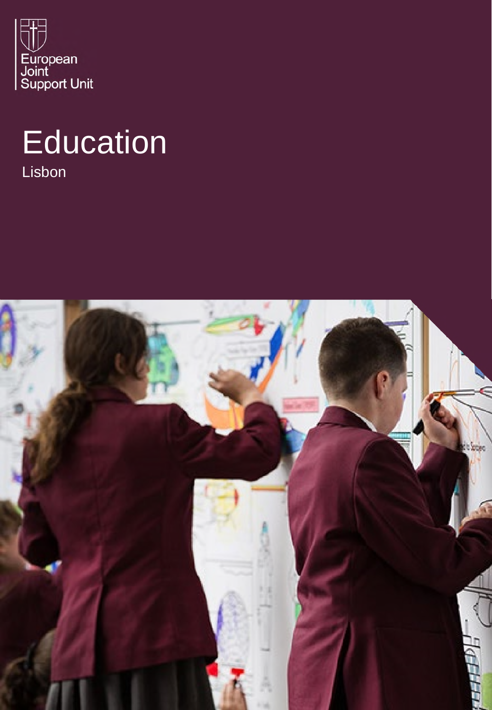

# **Education**

Lisbon

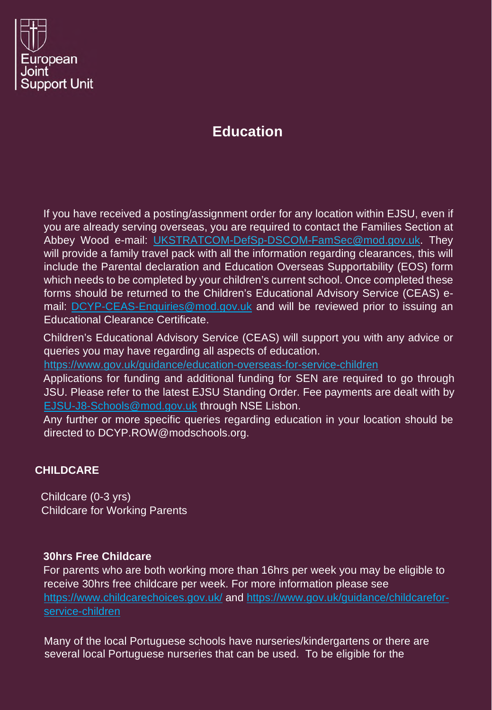

## **Education**

If you have received a posting/assignment order for any location within EJSU, even if you are already serving overseas, you are required to contact the Families Section at Abbey Wood e-mail: UKSTRATCOM-DefSp-DSCOM-FamSec@mod.gov.uk. They will provide a family travel pack with all the information regarding clearances, this will include the Parental declaration and Education Overseas Supportability (EOS) form which needs to be completed by your children's current school. Once completed these forms should be returned to the Children's Educational Advisory Service (CEAS) email: DCYP-CEAS-Enquiries@mod.gov.uk and will be reviewed prior to issuing an Educational Clearance Certificate.

Children's Educational Advisory Service (CEAS) will support you with any advice or queries you may have regarding all aspects of education.

https://www.gov.uk/guidance/education-overseas-for-service-children

Applications for funding and additional funding for SEN are required to go through JSU. Please refer to the latest EJSU Standing Order. Fee payments are dealt with by EJSU-J8-Schools@mod.gov.uk through NSE Lisbon.

Any further or more specific queries regarding education in your location should be directed to DCYP.ROW@modschools.org.

### **CHILDCARE**

Childcare (0-3 yrs) Childcare for Working Parents

### **30hrs Free Childcare**

For parents who are both working more than 16hrs per week you may be eligible to receive 30hrs free childcare per week. For more information please see https://www.childcarechoices.gov.uk/ and https://www.gov.uk/guidance/childcareforservice-children

Many of the local Portuguese schools have nurseries/kindergartens or there are several local Portuguese nurseries that can be used. To be eligible for the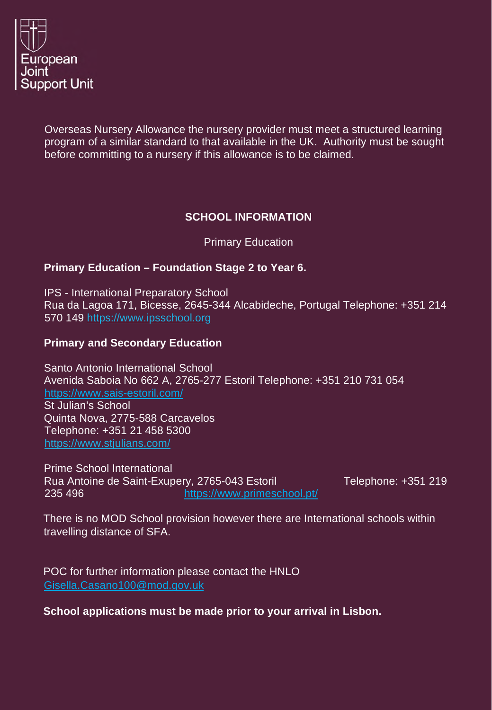

Overseas Nursery Allowance the nursery provider must meet a structured learning program of a similar standard to that available in the UK. Authority must be sought before committing to a nursery if this allowance is to be claimed.

## **SCHOOL INFORMATION**

Primary Education

#### **Primary Education – Foundation Stage 2 to Year 6.**

IPS - International Preparatory School Rua da Lagoa 171, Bicesse, 2645-344 Alcabideche, Portugal Telephone: +351 214 570 149 https://www.ipsschool.org

### **Primary and Secondary Education**

Santo Antonio International School Avenida Saboia No 662 A, 2765-277 Estoril Telephone: +351 210 731 054 https://www.sais-estoril.com/ St Julian's School Quinta Nova, 2775-588 Carcavelos Telephone: +351 21 458 5300 https://www.stjulians.com/

Prime School International Rua Antoine de Saint-Exupery, 2765-043 Estoril Telephone: +351 219 235 496 https://www.primeschool.pt/

There is no MOD School provision however there are International schools within travelling distance of SFA.

POC for further information please contact the HNLO Gisella.Casano100@mod.gov.uk

**School applications must be made prior to your arrival in Lisbon.**